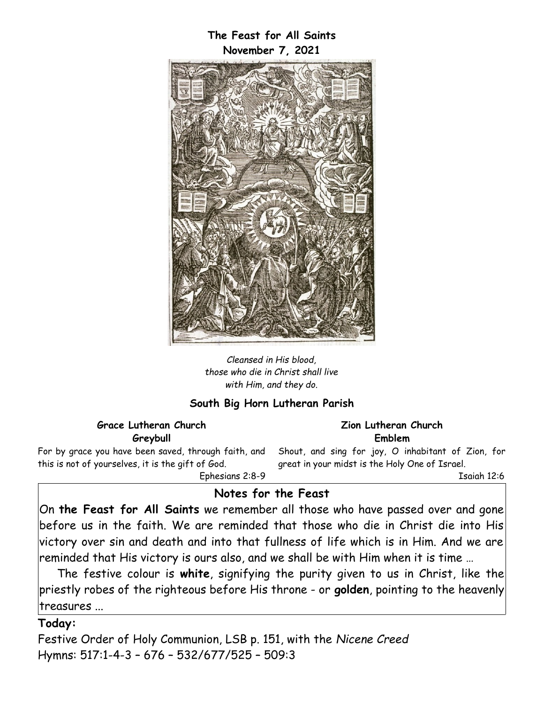### **The Feast for All Saints November 7, 2021**



*Cleansed in His blood, those who die in Christ shall live with Him, and they do.*

### **South Big Horn Lutheran Parish**

#### **Grace Lutheran Church Greybull**

For by grace you have been saved, through faith, and this is not of yourselves, it is the gift of God. Ephesians 2:8-9

**Zion Lutheran Church Emblem**

Shout, and sing for joy, O inhabitant of Zion, for great in your midst is the Holy One of Israel.

Isaiah 12:6

# **Notes for the Feast**

On **the Feast for All Saints** we remember all those who have passed over and gone before us in the faith. We are reminded that those who die in Christ die into His victory over sin and death and into that fullness of life which is in Him. And we are reminded that His victory is ours also, and we shall be with Him when it is time …

The festive colour is **white**, signifying the purity given to us in Christ, like the priestly robes of the righteous before His throne - or **golden**, pointing to the heavenly treasures ...

#### **Today:**

Festive Order of Holy Communion, LSB p. 151, with the *Nicene Creed* Hymns: 517:1-4-3 – 676 – 532/677/525 – 509:3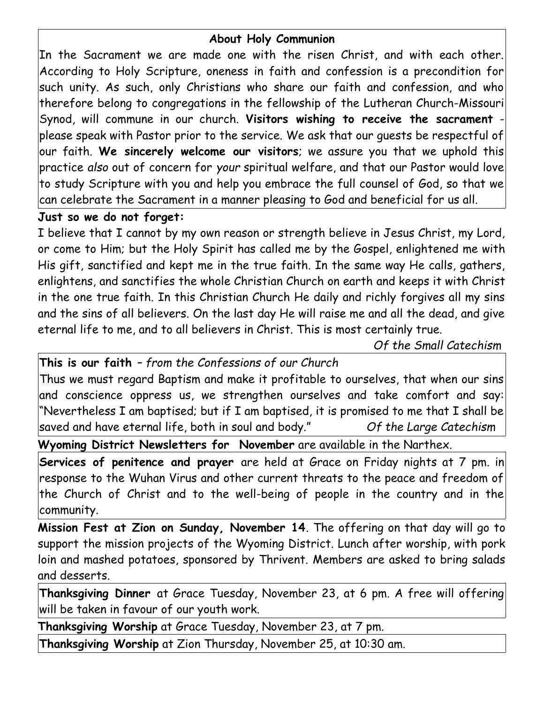# **About Holy Communion**

In the Sacrament we are made one with the risen Christ, and with each other. According to Holy Scripture, oneness in faith and confession is a precondition for such unity. As such, only Christians who share our faith and confession, and who therefore belong to congregations in the fellowship of the Lutheran Church-Missouri Synod, will commune in our church. **Visitors wishing to receive the sacrament** please speak with Pastor prior to the service. We ask that our guests be respectful of our faith. **We sincerely welcome our visitors**; we assure you that we uphold this practice *also* out of concern for *your* spiritual welfare, and that our Pastor would love to study Scripture with you and help you embrace the full counsel of God, so that we can celebrate the Sacrament in a manner pleasing to God and beneficial for us all.

# **Just so we do not forget:**

I believe that I cannot by my own reason or strength believe in Jesus Christ, my Lord, or come to Him; but the Holy Spirit has called me by the Gospel, enlightened me with His gift, sanctified and kept me in the true faith. In the same way He calls, gathers, enlightens, and sanctifies the whole Christian Church on earth and keeps it with Christ in the one true faith. In this Christian Church He daily and richly forgives all my sins and the sins of all believers. On the last day He will raise me and all the dead, and give eternal life to me, and to all believers in Christ. This is most certainly true.

*Of the Small Catechism*

**This is our faith** *– from the Confessions of our Church*

Thus we must regard Baptism and make it profitable to ourselves, that when our sins and conscience oppress us, we strengthen ourselves and take comfort and say: "Nevertheless I am baptised; but if I am baptised, it is promised to me that I shall be saved and have eternal life, both in soul and body." *Of the Large Catechism*

**Wyoming District Newsletters for November** are available in the Narthex.

**Services of penitence and prayer** are held at Grace on Friday nights at 7 pm. in response to the Wuhan Virus and other current threats to the peace and freedom of the Church of Christ and to the well-being of people in the country and in the community.

**Mission Fest at Zion on Sunday, November 14**. The offering on that day will go to support the mission projects of the Wyoming District. Lunch after worship, with pork loin and mashed potatoes, sponsored by Thrivent. Members are asked to bring salads and desserts.

**Thanksgiving Dinner** at Grace Tuesday, November 23, at 6 pm. A free will offering will be taken in favour of our youth work.

**Thanksgiving Worship** at Grace Tuesday, November 23, at 7 pm.

**Thanksgiving Worship** at Zion Thursday, November 25, at 10:30 am.